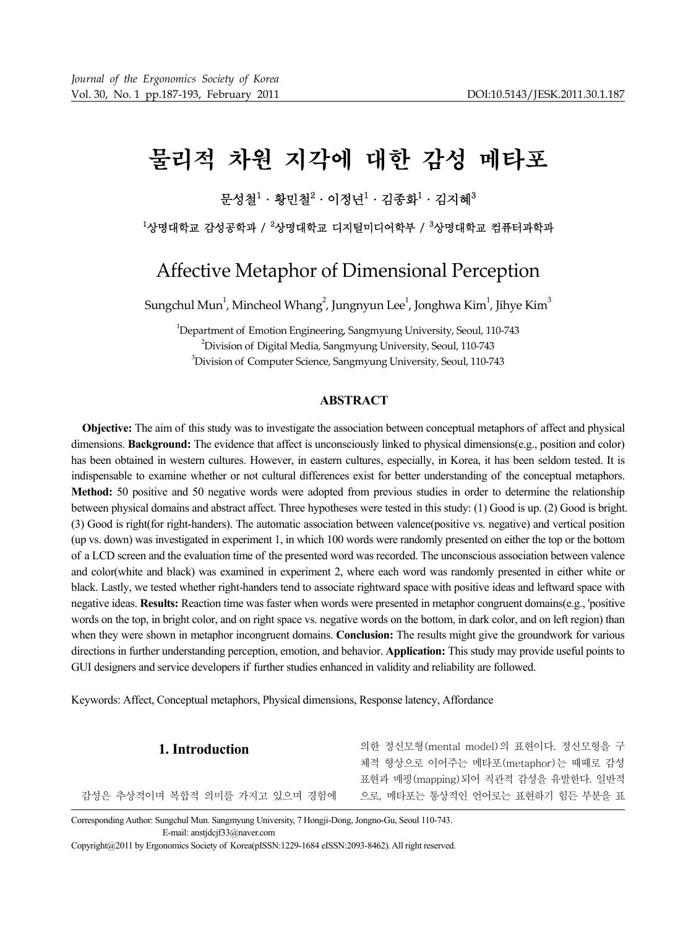# 물리적 차원 지각에 대한 감성 메타포

# 문성철 $^1$ ㆍ황민철 $^2$ ㆍ이정년 $^1$ ㆍ김종화 $^1$ ㆍ김지혜 $^3$

 $^{\rm 1}$ 상명대학교 나지털미디어학부 /  $^{\rm 3}$ 상명대학교 컴퓨터과학과

# Affective Metaphor of Dimensional Perception

Sungchul Mun $^1$ , Mincheol Whang $^2$ , Jungnyun Lee $^1$ , Jonghwa Kim $^1$ , Jihye Kim $^3$ 

1 Department of Emotion Engineering, Sangmyung University, Seoul, 110‐743  $^{2}$ Division of Digital Media, Sangmyung University, Seoul, 110-743  $^3$ Division of Computer Science, Sangmyung University, Seoul, 110-743

# **ABSTRACT**

**Objective:** The aim of this study was to investigate the association between conceptual metaphors of affect and physical dimensions. **Background:** The evidence that affect is unconsciously linked to physical dimensions(e.g., position and color) has been obtained in western cultures. However, in eastern cultures, especially, in Korea, it has been seldom tested. It is indispensable to examine whether or not cultural differences exist for better understanding of the conceptual metaphors. **Method:** 50 positive and 50 negative words were adopted from previous studies in order to determine the relationship between physical domains and abstract affect. Three hypotheses were tested in this study: (1) Good is up. (2) Good is bright. (3) Good is right(for right-handers). The automatic association between valence(positive vs. negative) and vertical position (up vs. down) was investigated in experiment 1, in which 100 words were randomly presented on either the top or the bottom of a LCD screen and the evaluation time of the presented word was recorded. The unconscious association between valence and color(white and black) was examined in experiment 2, where each word was randomly presented in either white or black. Lastly, we tested whether right-handers tend to associate rightward space with positive ideas and leftward space with negative ideas. **Results:** Reaction time was faster when words were presented in metaphor congruent domains(e.g., 'positive words on the top, in bright color, and on right space vs. negative words on the bottom, in dark color, and on left region) than when they were shown in metaphor incongruent domains. **Conclusion:** The results might give the groundwork for various directions in further understanding perception, emotion, and behavior. **Application:** This study may provide useful points to GUI designers and service developers if further studies enhanced in validity and reliability are followed.

Keywords: Affect, Conceptual metaphors, Physical dimensions, Response latency, Affordance

| 1. Introduction               | 의한 정신모형(mental model)의 표현이다. 정신모형을 구 |
|-------------------------------|--------------------------------------|
|                               | 체적 형상으로 이어주는 메타포(metaphor)는 때때로 감성   |
|                               | 표현과 매핑(mapping) 되어 직관적 감성을 유발한다. 일반적 |
| 감성은 추상적이며 복합적 의미를 가지고 있으며 경험에 | 으로. 메타포는 통상적인 언어로는 표현하기 힘든 부분을 표     |
|                               |                                      |

Corresponding Author: Sungchul Mun. Sangmyung University, 7 Hongji-Dong, Jongno-Gu, Seoul 110-743. E-mail: anstjdcjf33@naver.com

Copyright@2011 by Ergonomics Society of Korea(pISSN:1229-1684 eISSN:2093-8462). All right reserved.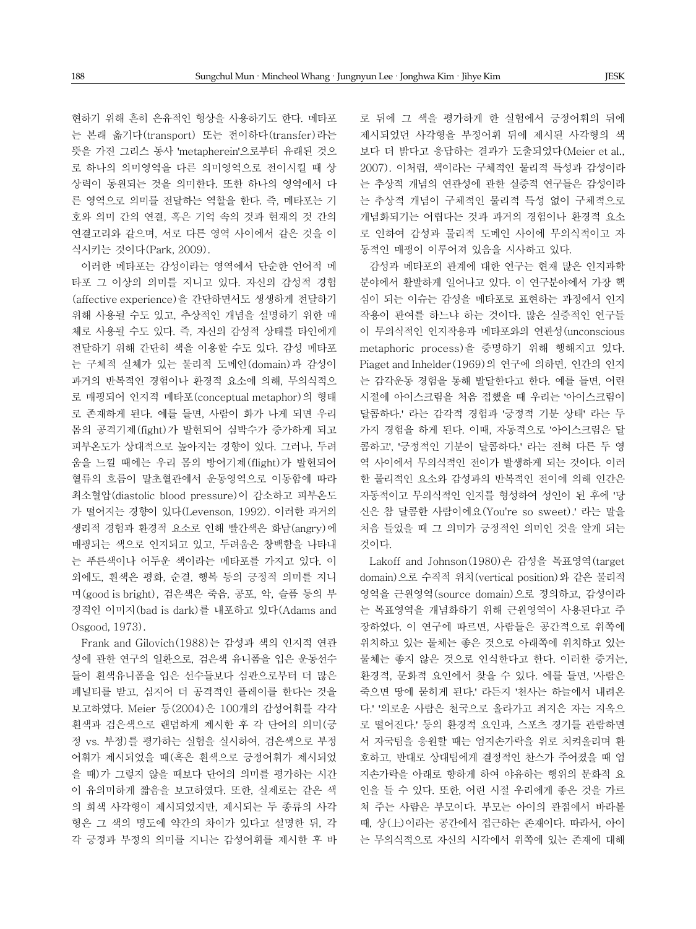현하기 위해 흔히 은유적인 형상을 사용하기도 한다. 메타포 는 본래 옮기다(transport) 또는 전이하다(transfer)라는 뜻을 가진 그리스 동사 'metapherein'으로부터 유래된 것으 로 하나의 의미영역을 다른 의미영역으로 전이시킬 때 상 상력이 동원되는 것을 의미한다. 또한 하나의 영역에서 다 른 영역으로 의미를 전달하는 역할을 한다. 즉, 메타포는 기 호와 의미 간의 연결, 혹은 기억 속의 것과 현재의 것 간의 연결고리와 같으며, 서로 다른 영역 사이에서 같은 것을 이 식시키는 것이다(Park, 2009).

이러한 메타포는 감성이라는 영역에서 단순한 언어적 메 타포 그 이상의 의미를 지니고 있다. 자신의 감성적 경험 (affective experience)을 간단하면서도 생생하게 전달하기 위해 사용될 수도 있고, 추상적인 개념을 설명하기 위한 매 체로 사용될 수도 있다. 즉, 자신의 감성적 상태를 타인에게 전달하기 위해 간단히 색을 이용할 수도 있다. 감성 메타포 는 구체적 실체가 있는 물리적 도메인(domain)과 감성이 과거의 반복적인 경험이나 환경적 요소에 의해, 무의식적으 로 매핑되어 인지적 메타포(conceptual metaphor)의 형태 로 존재하게 된다. 예를 들면, 사람이 화가 나게 되면 우리 몸의 공격기제(fight)가 발현되어 심박수가 증가하게 되고 피부온도가 상대적으로 높아지는 경향이 있다. 그러나, 두려 움을 느낄 때에는 우리 몸의 방어기제(flight)가 발현되어 혈류의 흐름이 말초혈관에서 운동영역으로 이동함에 따라 최소혈압(diastolic blood pressure)이 감소하고 피부온도 가 떨어지는 경향이 있다(Levenson, 1992). 이러한 과거의 생리적 경험과 환경적 요소로 인해 빨간색은 화남(angry)에 매핑되는 색으로 인지되고 있고, 두려움은 창백함을 나타내 는 푸른색이나 어두운 색이라는 메타포를 가지고 있다. 이 외에도, 흰색은 평화, 순결, 행복 등의 긍정적 의미를 지니 며(good is bright), 검은색은 죽음, 공포, 악, 슬픔 등의 부 정적인 이미지(bad is dark)를 내포하고 있다(Adams and Osgood, 1973).

Frank and Gilovich(1988)는 감성과 색의 인지적 연관 성에 관한 연구의 일환으로, 검은색 유니폼을 입은 운동선수 들이 흰색유니폼을 입은 선수들보다 심판으로부터 더 많은 페널티를 받고, 심지어 더 공격적인 플레이를 한다는 것을 보고하였다. Meier 등(2004)은 100개의 감성어휘를 각각 흰색과 검은색으로 랜덤하게 제시한 후 각 단어의 의미(긍 정 vs. 부정)를 평가하는 실험을 실시하여, 검은색으로 부정 어휘가 제시되었을 때(혹은 흰색으로 긍정어휘가 제시되었 을 때)가 그렇지 않을 때보다 단어의 의미를 평가하는 시간 이 유의미하게 짧음을 보고하였다. 또한, 실제로는 같은 색 의 회색 사각형이 제시되었지만, 제시되는 두 종류의 사각 형은 그 색의 명도에 약간의 차이가 있다고 설명한 뒤, 각 각 긍정과 부정의 의미를 지니는 감성어휘를 제시한 후 바 로 뒤에 그 색을 평가하게 한 실험에서 긍정어휘의 뒤에 제시되었던 사각형을 부정어휘 뒤에 제시된 사각형의 색 보다 더 밝다고 응답하는 결과가 도출되었다(Meier et al., 2007). 이처럼, 색이라는 구체적인 물리적 특성과 감성이라 는 추상적 개념의 연관성에 관한 실증적 연구들은 감성이라 는 추상적 개념이 구체적인 물리적 특성 없이 구체적으로 개념화되기는 어렵다는 것과 과거의 경험이나 환경적 요소 로 인하여 감성과 물리적 도메인 사이에 무의식적이고 자 동적인 매핑이 이루어져 있음을 시사하고 있다.

감성과 메타포의 관계에 대한 연구는 현재 많은 인지과학 분야에서 활발하게 일어나고 있다. 이 연구분야에서 가장 핵 심이 되는 이슈는 감성을 메타포로 표현하는 과정에서 인지 작용이 관여를 하느냐 하는 것이다. 많은 실증적인 연구들 이 무의식적인 인지작용과 메타포와의 연관성(unconscious metaphoric process)을 증명하기 위해 행해지고 있다. Piaget and Inhelder(1969)의 연구에 의하면, 인간의 인지 는 감각운동 경험을 통해 발달한다고 한다. 예를 들면, 어린 시절에 아이스크림을 처음 접했을 때 우리는 '아이스크림이 달콤하다.' 라는 감각적 경험과 '긍정적 기분 상태' 라는 두 가지 경험을 하게 된다. 이때, 자동적으로 '아이스크림은 달 콤하고', '긍정적인 기분이 달콤하다.' 라는 전혀 다른 두 영 역 사이에서 무의식적인 전이가 발생하게 되는 것이다. 이러 한 물리적인 요소와 감성과의 반복적인 전이에 의해 인간은 자동적이고 무의식적인 인지를 형성하여 성인이 된 후에 '당 신은 참 달콤한 사람이에요(You're so sweet).' 라는 말을 처음 들었을 때 그 의미가 긍정적인 의미인 것을 알게 되는 것이다.

Lakoff and Johnson(1980)은 감성을 목표영역(target domain)으로 수직적 위치(vertical position)와 같은 물리적 영역을 근원영역(source domain)으로 정의하고, 감성이라 는 목표영역을 개념화하기 위해 근원영역이 사용된다고 주 장하였다. 이 연구에 따르면, 사람들은 공간적으로 위쪽에 위치하고 있는 물체는 좋은 것으로 아래쪽에 위치하고 있는 물체는 좋지 않은 것으로 인식한다고 한다. 이러한 증거는, 환경적, 문화적 요인에서 찾을 수 있다. 예를 들면, '사람은 죽으면 땅에 묻히게 된다.' 라든지 '천사는 하늘에서 내려온 다.' '의로운 사람은 천국으로 올라가고 죄지은 자는 지옥으 로 떨어진다.' 등의 환경적 요인과, 스포츠 경기를 관람하면 서 자국팀을 응원할 때는 엄지손가락을 위로 치켜올리며 환 호하고, 반대로 상대팀에게 결정적인 찬스가 주어졌을 때 엄 지손가락을 아래로 향하게 하여 야유하는 행위의 문화적 요 인을 들 수 있다. 또한, 어린 시절 우리에게 좋은 것을 가르 쳐 주는 사람은 부모이다. 부모는 아이의 관점에서 바라볼 때, 상(上)이라는 공간에서 접근하는 존재이다. 따라서, 아이 는 무의식적으로 자신의 시각에서 위쪽에 있는 존재에 대해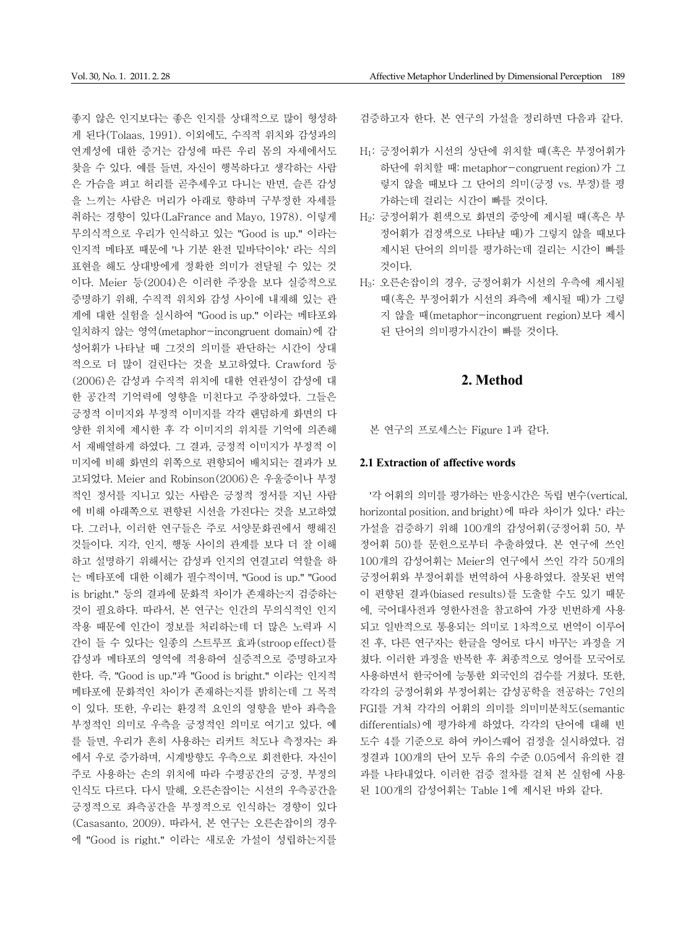좋지 않은 인지보다는 좋은 인지를 상대적으로 많이 형성하 게 된다(Tolaas, 1991). 이외에도, 수직적 위치와 감성과의 연계성에 대한 증거는 감성에 따른 우리 몸의 자세에서도 찾을 수 있다. 예를 들면, 자신이 행복하다고 생각하는 사람 은 가슴을 펴고 허리를 곧추세우고 다니는 반면, 슬픈 감성 을 느끼는 사람은 머리가 아래로 향하며 구부정한 자세를 취하는 경향이 있다(LaFrance and Mayo, 1978). 이렇게 무의식적으로 우리가 인식하고 있는 "Good is up." 이라는 인지적 메타포 때문에 '나 기분 완전 밑바닥이야.' 라는 식의 표현을 해도 상대방에게 정확한 의미가 전달될 수 있는 것 이다. Meier 등(2004)은 이러한 주장을 보다 실증적으로 증명하기 위해, 수직적 위치와 감성 사이에 내재해 있는 관 계에 대한 실험을 실시하여 "Good is up." 이라는 메타포와 일치하지 않는 영역(metaphor-incongruent domain)에 감 성어휘가 나타날 때 그것의 의미를 판단하는 시간이 상대 적으로 더 많이 걸린다는 것을 보고하였다. Crawford 등 (2006)은 감성과 수직적 위치에 대한 연관성이 감성에 대 한 공간적 기억력에 영향을 미친다고 주장하였다. 그들은 긍정적 이미지와 부정적 이미지를 각각 랜덤하게 화면의 다 양한 위치에 제시한 후 각 이미지의 위치를 기억에 의존해 서 재배열하게 하였다. 그 결과, 긍정적 이미지가 부정적 이 미지에 비해 화면의 위쪽으로 편향되어 배치되는 결과가 보 고되었다. Meier and Robinson(2006)은 우울증이나 부정 적인 정서를 지니고 있는 사람은 긍정적 정서를 지닌 사람 에 비해 아래쪽으로 편향된 시선을 가진다는 것을 보고하였 다. 그러나, 이러한 연구들은 주로 서양문화권에서 행해진 것들이다. 지각, 인지, 행동 사이의 관계를 보다 더 잘 이해 하고 설명하기 위해서는 감성과 인지의 연결고리 역할을 하 는 메타포에 대한 이해가 필수적이며, "Good is up." "Good is bright." 등의 결과에 문화적 차이가 존재하는지 검증하는 것이 필요하다. 따라서, 본 연구는 인간의 무의식적인 인지 작용 때문에 인간이 정보를 처리하는데 더 많은 노력과 시 간이 들 수 있다는 일종의 스트루프 효과(stroop effect)를 감성과 메타포의 영역에 적용하여 실증적으로 증명하고자 한다. 즉, "Good is up."과 "Good is bright." 이라는 인지적 메타포에 문화적인 차이가 존재하는지를 밝히는데 그 목적 이 있다. 또한, 우리는 환경적 요인의 영향을 받아 좌측을 부정적인 의미로 우측을 긍정적인 의미로 여기고 있다. 예 를 들면, 우리가 흔히 사용하는 리커트 척도나 측정자는 좌 에서 우로 증가하며, 시계방향도 우측으로 회전한다. 자신이 주로 사용하는 손의 위치에 따라 수평공간의 긍정, 부정의 인식도 다르다. 다시 말해, 오른손잡이는 시선의 우측공간을 긍정적으로 좌측공간을 부정적으로 인식하는 경향이 있다 (Casasanto, 2009). 따라서, 본 연구는 오른손잡이의 경우 에 "Good is right." 이라는 새로운 가설이 성립하는지를

검증하고자 한다. 본 연구의 가설을 정리하면 다음과 같다.

- H1: 긍정어휘가 시선의 상단에 위치할 때(혹은 부정어휘가 하단에 위치할 때: metaphor-congruent region)가 그 렇지 않을 때보다 그 단어의 의미(긍정 vs. 부정)를 평 가하는데 걸리는 시간이 빠를 것이다.
- H2: 긍정어휘가 흰색으로 화면의 중앙에 제시될 때(혹은 부 정어휘가 검정색으로 나타날 때)가 그렇지 않을 때보다 제시된 단어의 의미를 평가하는데 걸리는 시간이 빠를 것이다.
- H3: 오른손잡이의 경우, 긍정어휘가 시선의 우측에 제시될 때(혹은 부정어휘가 시선의 좌측에 제시될 때)가 그렇 지 않을 때(metaphor-incongruent region)보다 제시 된 단어의 의미평가시간이 빠를 것이다.

## **2. Method**

본 연구의 프로세스는 Figure 1과 같다.

#### **2.1 Extraction of affective words**

'각 어휘의 의미를 평가하는 반응시간은 독립 변수(vertical, horizontal position, and bright)에 따라 차이가 있다.' 라는 가설을 검증하기 위해 100개의 감성어휘(긍정어휘 50, 부 정어휘 50)를 문헌으로부터 추출하였다. 본 연구에 쓰인 100개의 감성어휘는 Meier의 연구에서 쓰인 각각 50개의 긍정어휘와 부정어휘를 번역하여 사용하였다. 잘못된 번역 이 편향된 결과(biased results)를 도출할 수도 있기 때문 에, 국어대사전과 영한사전을 참고하여 가장 빈번하게 사용 되고 일반적으로 통용되는 의미로 1차적으로 번역이 이루어 진 후, 다른 연구자는 한글을 영어로 다시 바꾸는 과정을 거 쳤다. 이러한 과정을 반복한 후 최종적으로 영어를 모국어로 사용하면서 한국어에 능통한 외국인의 검수를 거쳤다. 또한, 각각의 긍정어휘와 부정어휘는 감성공학을 전공하는 7인의 FGI를 거쳐 각각의 어휘의 의미를 의미미분척도(semantic differentials)에 평가하게 하였다. 각각의 단어에 대해 빈 도수 4를 기준으로 하여 카이스퀘어 검정을 실시하였다. 검 정결과 100개의 단어 모두 유의 수준 0.05에서 유의한 결 과를 나타내었다. 이러한 검증 절차를 걸쳐 본 실험에 사용 된 100개의 감성어휘는 Table 1에 제시된 바와 같다.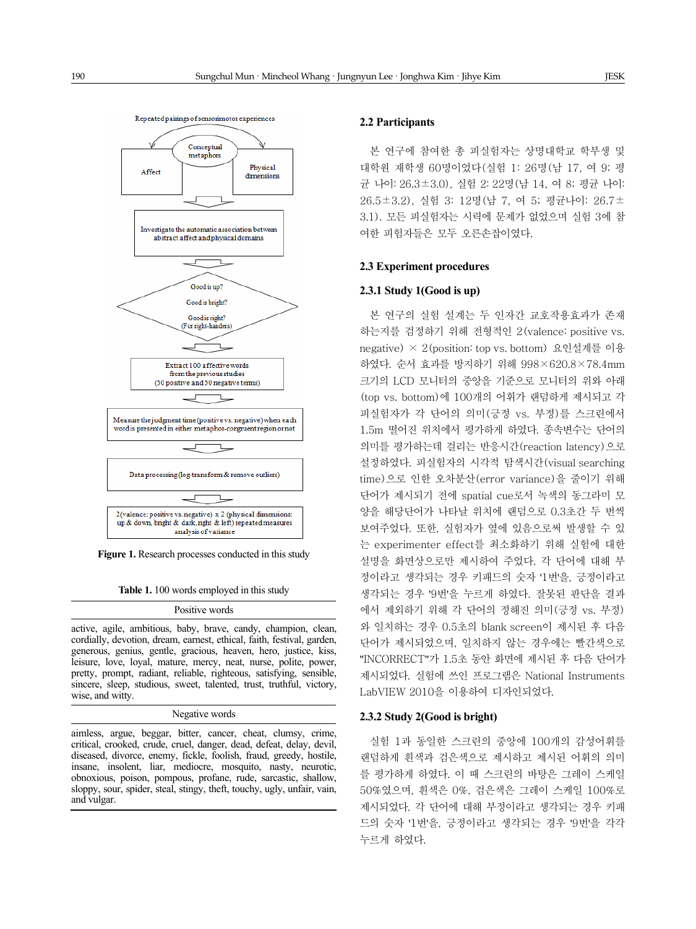

**Figure 1.** Research processes conducted in this study

**Table 1.** 100 words employed in this study

#### Positive words

active, agile, ambitious, baby, brave, candy, champion, clean, cordially, devotion, dream, earnest, ethical, faith, festival, garden, generous, genius, gentle, gracious, heaven, hero, justice, kiss, leisure, love, loyal, mature, mercy, neat, nurse, polite, power, pretty, prompt, radiant, reliable, righteous, satisfying, sensible, sincere, sleep, studious, sweet, talented, trust, truthful, victory, wise, and witty.

Negative words

aimless, argue, beggar, bitter, cancer, cheat, clumsy, crime, critical, crooked, crude, cruel, danger, dead, defeat, delay, devil, diseased, divorce, enemy, fickle, foolish, fraud, greedy, hostile, insane, insolent, liar, mediocre, mosquito, nasty, neurotic, obnoxious, poison, pompous, profane, rude, sarcastic, shallow, sloppy, sour, spider, steal, stingy, theft, touchy, ugly, unfair, vain, and vulgar.

#### **2.2 Participants**

본 연구에 참여한 총 피실험자는 상명대학교 학부생 및 대학원 재학생 60명이었다(실험 1: 26명(남 17, 여 9; 평 균 나이: 26.3±3.0), 실험 2: 22명(남 14, 여 8; 평균 나이: 26.5±3.2), 실험 3: 12명(남 7, 여 5; 평균나이: 26.7± 3.1). 모든 피실험자는 시력에 문제가 없었으며 실험 3에 참 여한 피험자들은 모두 오른손잡이였다.

#### **2.3 Experiment procedures**

#### **2.3.1 Study 1(Good is up)**

본 연구의 실험 설계는 두 인자간 교호작용효과가 존재 하는지를 검정하기 위해 전형적인 2(valence: positive vs. negative) × 2(position: top vs. bottom) 요인설계를 이용 하였다. 순서 효과를 방지하기 위해 998×620.8×78.4mm 크기의 LCD 모니터의 중앙을 기준으로 모니터의 위와 아래 (top vs. bottom)에 100개의 어휘가 랜덤하게 제시되고 각 피실험자가 각 단어의 의미(긍정 vs. 부정)를 스크린에서 1.5m 떨어진 위치에서 평가하게 하였다. 종속변수는 단어의 의미를 평가하는데 걸리는 반응시간(reaction latency)으로 설정하였다. 피실험자의 시각적 탐색시간(visual searching time)으로 인한 오차분산(error variance)을 줄이기 위해 단어가 제시되기 전에 spatial cue로서 녹색의 동그라미 모 양을 해당단어가 나타날 위치에 랜덤으로 0.3초간 두 번씩 보여주었다. 또한, 실험자가 옆에 있음으로써 발생할 수 있 는 experimenter effect를 최소화하기 위해 실험에 대한 설명을 화면상으로만 제시하여 주었다. 각 단어에 대해 부 정이라고 생각되는 경우 키패드의 숫자 '1번'을, 긍정이라고 생각되는 경우 '9번'을 누르게 하였다. 잘못된 판단을 결과 에서 제외하기 위해 각 단어의 정해진 의미(긍정 vs. 부정) 와 일치하는 경우 0.5초의 blank screen이 제시된 후 다음 단어가 제시되었으며, 일치하지 않는 경우에는 빨간색으로 "INCORRECT"가 1.5초 동안 화면에 제시된 후 다음 단어가 제시되었다. 실험에 쓰인 프로그램은 National Instruments LabVIEW 2010을 이용하여 디자인되었다.

#### **2.3.2 Study 2(Good is bright)**

실험 1과 동일한 스크린의 중앙에 100개의 감성어휘를 랜덤하게 흰색과 검은색으로 제시하고 제시된 어휘의 의미 를 평가하게 하였다. 이 때 스크린의 바탕은 그레이 스케일 50%였으며, 흰색은 0%, 검은색은 그레이 스케일 100%로 제시되었다. 각 단어에 대해 부정이라고 생각되는 경우 키패 드의 숫자 '1번'을, 긍정이라고 생각되는 경우 '9번'을 각각 누르게 하였다.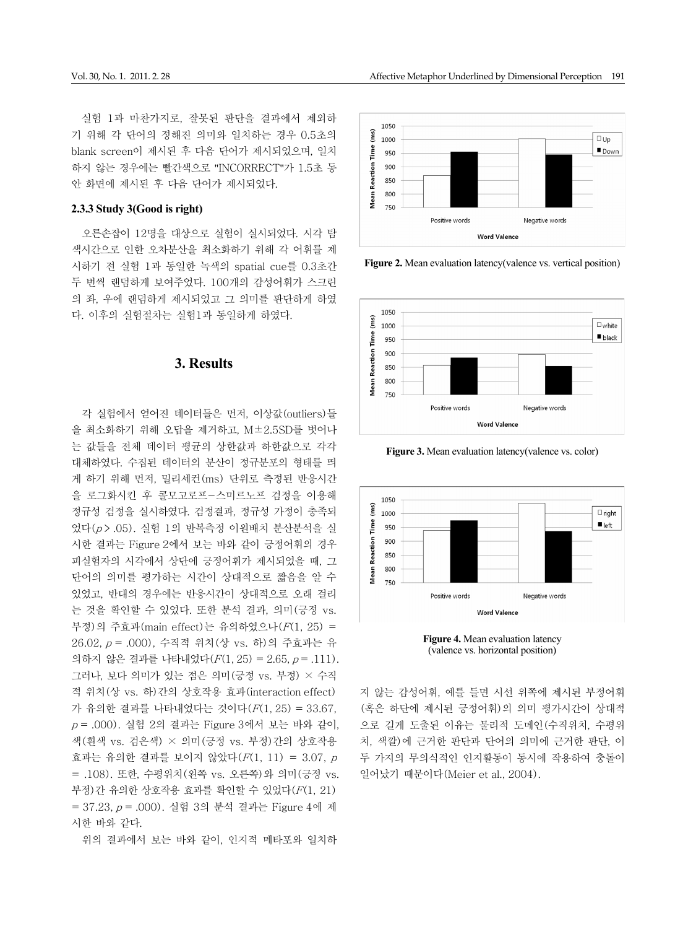실험 1과 마찬가지로, 잘못된 판단을 결과에서 제외하 기 위해 각 단어의 정해진 의미와 일치하는 경우 0.5초의 blank screen이 제시된 후 다음 단어가 제시되었으며, 일치 하지 않는 경우에는 빨간색으로 "INCORRECT"가 1.5초 동 안 화면에 제시된 후 다음 단어가 제시되었다.

#### **2.3.3 Study 3(Good is right)**

오른손잡이 12명을 대상으로 실험이 실시되었다. 시각 탐 색시간으로 인한 오차분산을 최소화하기 위해 각 어휘를 제 시하기 전 실험 1과 동일한 녹색의 spatial cue를 0.3초간 두 번씩 랜덤하게 보여주었다. 100개의 감성어휘가 스크린 의 좌, 우에 랜덤하게 제시되었고 그 의미를 판단하게 하였 다. 이후의 실험절차는 실험1과 동일하게 하였다.

# **3. Results**

각 실험에서 얻어진 데이터들은 먼저, 이상값(outliers)들 을 최소화하기 위해 오답을 제거하고, M±2.5SD를 벗어나 는 값들을 전체 데이터 평균의 상한값과 하한값으로 각각 대체하였다. 수집된 데이터의 분산이 정규분포의 형태를 띄 게 하기 위해 먼저, 밀리세컨(ms) 단위로 측정된 반응시간 을 로그화시킨 후 콜모고로프-스미르노프 검정을 이용해 정규성 검정을 실시하였다. 검정결과, 정규성 가정이 충족되 었다(p > .05). 실험 1의 반복측정 이원배치 분산분석을 실 시한 결과는 Figure 2에서 보는 바와 같이 긍정어휘의 경우 피실험자의 시각에서 상단에 긍정어휘가 제시되었을 때, 그 단어의 의미를 평가하는 시간이 상대적으로 짧음을 알 수 있었고, 반대의 경우에는 반응시간이 상대적으로 오래 걸리 는 것을 확인할 수 있었다. 또한 분석 결과, 의미(긍정 vs. 부정)의 주효과(main effect)는 유의하였으나(F(1, 25) = 26.02, p = .000), 수직적 위치(상 vs. 하)의 주효과는 유 의하지 않은 결과를 나타내었다 $(F(1, 25) = 2.65, p = .111)$ . 그러나, 보다 의미가 있는 점은 의미(긍정 vs. 부정) × 수직 적 위치(상 vs. 하)간의 상호작용 효과(interaction effect) 가 유의한 결과를 나타내었다는 것이다(F(1, 25) = 33.67,  $p = .000$ ). 실험 2의 결과는 Figure 3에서 보는 바와 같이, 색(흰색 vs. 검은색) × 의미(긍정 vs. 부정)간의 상호작용 효과는 유의한 결과를 보이지 않았다(F(1, 11) = 3.07, <sup>p</sup> = .108). 또한, 수평위치(왼쪽 vs. 오른쪽)와 의미(긍정 vs. 부정)간 유의한 상호작용 효과를 확인할 수 있었다(F(1, 21) = 37.23, p = .000). 실험 3의 분석 결과는 Figure 4에 제 시한 바와 같다.

위의 결과에서 보는 바와 같이, 인지적 메타포와 일치하



**Figure 2.** Mean evaluation latency(valence vs. vertical position)



**Figure 3.** Mean evaluation latency(valence vs. color)



**Figure 4.** Mean evaluation latency (valence vs. horizontal position)

지 않는 감성어휘, 예를 들면 시선 위쪽에 제시된 부정어휘 (혹은 하단에 제시된 긍정어휘)의 의미 평가시간이 상대적 으로 길게 도출된 이유는 물리적 도메인(수직위치, 수평위 치, 색깔)에 근거한 판단과 단어의 의미에 근거한 판단, 이 두 가지의 무의식적인 인지활동이 동시에 작용하여 충돌이 일어났기 때문이다(Meier et al., 2004).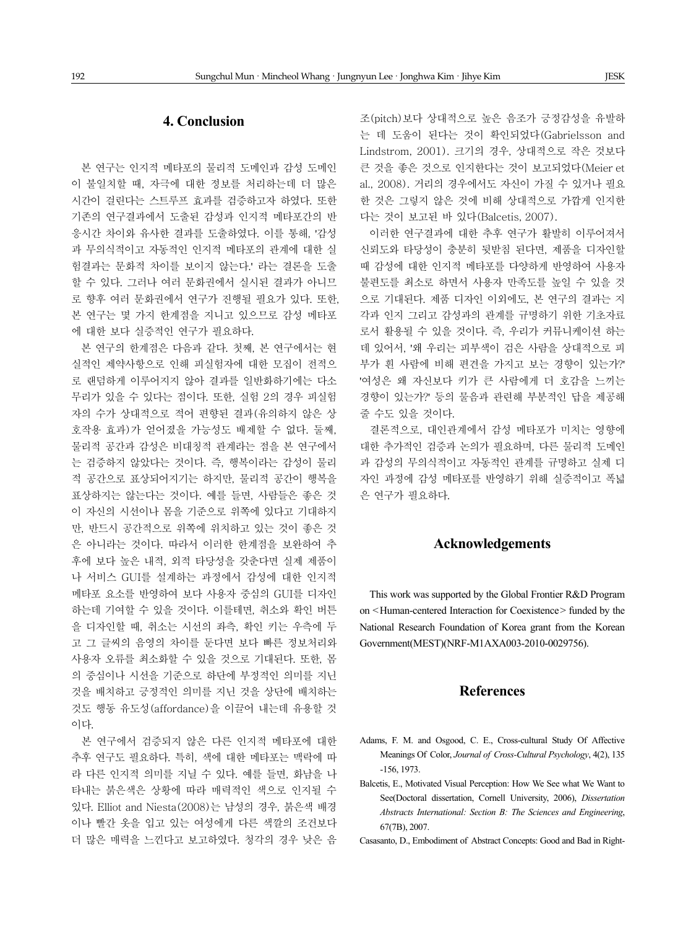# **4. Conclusion**

본 연구는 인지적 메타포의 물리적 도메인과 감성 도메인 이 불일치할 때, 자극에 대한 정보를 처리하는데 더 많은 시간이 걸린다는 스트루프 효과를 검증하고자 하였다. 또한 기존의 연구결과에서 도출된 감성과 인지적 메타포간의 반 응시간 차이와 유사한 결과를 도출하였다. 이를 통해, '감성 과 무의식적이고 자동적인 인지적 메타포의 관계에 대한 실 험결과는 문화적 차이를 보이지 않는다.' 라는 결론을 도출 할 수 있다. 그러나 여러 문화권에서 실시된 결과가 아니므 로 향후 여러 문화권에서 연구가 진행될 필요가 있다. 또한, 본 연구는 몇 가지 한계점을 지니고 있으므로 감성 메타포 에 대한 보다 실증적인 연구가 필요하다.

본 연구의 한계점은 다음과 같다. 첫째, 본 연구에서는 현 실적인 제약사항으로 인해 피실험자에 대한 모집이 전적으 로 랜덤하게 이루어지지 않아 결과를 일반화하기에는 다소 무리가 있을 수 있다는 점이다. 또한, 실험 2의 경우 피실험 자의 수가 상대적으로 적어 편향된 결과(유의하지 않은 상 호작용 효과)가 얻어졌을 가능성도 배제할 수 없다. 둘째, 물리적 공간과 감성은 비대칭적 관계라는 점을 본 연구에서 는 검증하지 않았다는 것이다. 즉, 행복이라는 감성이 물리 적 공간으로 표상되어지기는 하지만, 물리적 공간이 행복을 표상하지는 않는다는 것이다. 예를 들면, 사람들은 좋은 것 이 자신의 시선이나 몸을 기준으로 위쪽에 있다고 기대하지 만, 반드시 공간적으로 위쪽에 위치하고 있는 것이 좋은 것 은 아니라는 것이다. 따라서 이러한 한계점을 보완하여 추 후에 보다 높은 내적, 외적 타당성을 갖춘다면 실제 제품이 나 서비스 GUI를 설계하는 과정에서 감성에 대한 인지적 메타포 요소를 반영하여 보다 사용자 중심의 GUI를 디자인 하는데 기여할 수 있을 것이다. 이를테면, 취소와 확인 버튼 을 디자인할 때, 취소는 시선의 좌측, 확인 키는 우측에 두 고 그 글씨의 음영의 차이를 둔다면 보다 빠른 정보처리와 사용자 오류를 최소화할 수 있을 것으로 기대된다. 또한, 몸 의 중심이나 시선을 기준으로 하단에 부정적인 의미를 지닌 것을 배치하고 긍정적인 의미를 지닌 것을 상단에 배치하는 것도 행동 유도성(affordance)을 이끌어 내는데 유용할 것 이다.

본 연구에서 검증되지 않은 다른 인지적 메타포에 대한 추후 연구도 필요하다. 특히, 색에 대한 메타포는 맥락에 따 라 다른 인지적 의미를 지닐 수 있다. 예를 들면, 화남을 나 타내는 붉은색은 상황에 따라 매력적인 색으로 인지될 수 있다. Elliot and Niesta(2008)는 남성의 경우, 붉은색 배경 이나 빨간 옷을 입고 있는 여성에게 다른 색깔의 조건보다 더 많은 매력을 느낀다고 보고하였다. 청각의 경우 낮은 음 조(pitch)보다 상대적으로 높은 음조가 긍정감성을 유발하 는 데 도움이 된다는 것이 확인되었다(Gabrielsson and Lindstrom, 2001). 크기의 경우, 상대적으로 작은 것보다 큰 것을 좋은 것으로 인지한다는 것이 보고되었다(Meier et al., 2008). 거리의 경우에서도 자신이 가질 수 있거나 필요 한 것은 그렇지 않은 것에 비해 상대적으로 가깝게 인지한 다는 것이 보고된 바 있다(Balcetis, 2007).

이러한 연구결과에 대한 추후 연구가 활발히 이루어져서 신뢰도와 타당성이 충분히 뒷받침 된다면, 제품을 디자인할 때 감성에 대한 인지적 메타포를 다양하게 반영하여 사용자 불편도를 최소로 하면서 사용자 만족도를 높일 수 있을 것 으로 기대된다. 제품 디자인 이외에도, 본 연구의 결과는 지 각과 인지 그리고 감성과의 관계를 규명하기 위한 기초자료 로서 활용될 수 있을 것이다. 즉, 우리가 커뮤니케이션 하는 데 있어서, '왜 우리는 피부색이 검은 사람을 상대적으로 피 부가 흰 사람에 비해 편견을 가지고 보는 경향이 있는가?' '여성은 왜 자신보다 키가 큰 사람에게 더 호감을 느끼는 경향이 있는가?' 등의 물음과 관련해 부분적인 답을 제공해 줄 수도 있을 것이다.

결론적으로, 대인관계에서 감성 메타포가 미치는 영향에 대한 추가적인 검증과 논의가 필요하며, 다른 물리적 도메인 과 감성의 무의식적이고 자동적인 관계를 규명하고 실제 디 자인 과정에 감성 메타포를 반영하기 위해 실증적이고 폭넓 은 연구가 필요하다.

# **Acknowledgements**

This work was supported by the Global Frontier R&D Program on <Human-centered Interaction for Coexistence> funded by the National Research Foundation of Korea grant from the Korean Government(MEST)(NRF-M1AXA003-2010-0029756).

## **References**

- Adams, F. M. and Osgood, C. E., Cross-cultural Study Of Affective Meanings Of Color, *Journal of Cross-Cultural Psychology*, 4(2), 135 -156, 1973.
- Balcetis, E., Motivated Visual Perception: How We See what We Want to See(Doctoral dissertation, Cornell University, 2006), *Dissertation Abstracts International: Section B: The Sciences and Engineering*, 67(7B), 2007.
- Casasanto, D., Embodiment of Abstract Concepts: Good and Bad in Right-